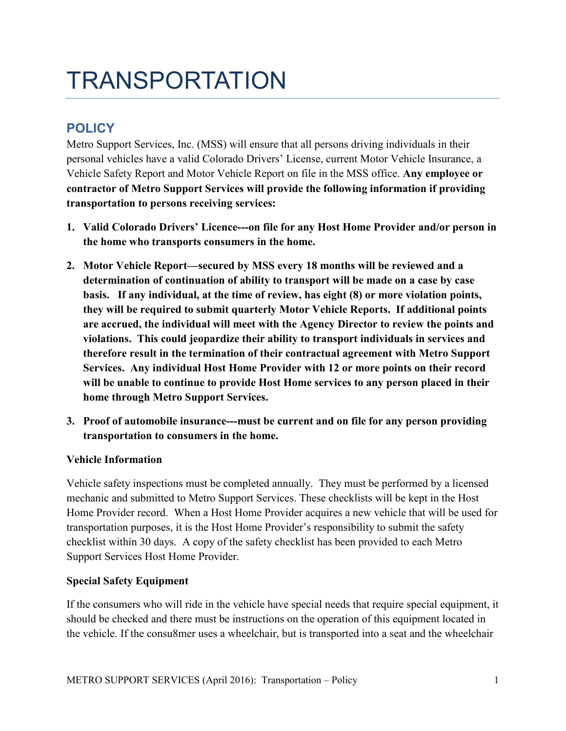# **TRANSPORTATION**

## **POLICY**

Metro Support Services, Inc. (MSS) will ensure that all persons driving individuals in their personal vehicles have a valid Colorado Drivers' License, current Motor Vehicle Insurance, a Vehicle Safety Report and Motor Vehicle Report on file in the MSS office. **Any employee or contractor of Metro Support Services will provide the following information if providing transportation to persons receiving services:** 

- **1. Valid Colorado Drivers' Licence---on file for any Host Home Provider and/or person in the home who transports consumers in the home.**
- **2. Motor Vehicle Report—secured by MSS every 18 months will be reviewed and a determination of continuation of ability to transport will be made on a case by case basis. If any individual, at the time of review, has eight (8) or more violation points, they will be required to submit quarterly Motor Vehicle Reports. If additional points are accrued, the individual will meet with the Agency Director to review the points and violations. This could jeopardize their ability to transport individuals in services and therefore result in the termination of their contractual agreement with Metro Support Services. Any individual Host Home Provider with 12 or more points on their record will be unable to continue to provide Host Home services to any person placed in their home through Metro Support Services.**
- **3. Proof of automobile insurance---must be current and on file for any person providing transportation to consumers in the home.**

### **Vehicle Information**

Vehicle safety inspections must be completed annually. They must be performed by a licensed mechanic and submitted to Metro Support Services. These checklists will be kept in the Host Home Provider record. When a Host Home Provider acquires a new vehicle that will be used for transportation purposes, it is the Host Home Provider's responsibility to submit the safety checklist within 30 days. A copy of the safety checklist has been provided to each Metro Support Services Host Home Provider.

### **Special Safety Equipment**

If the consumers who will ride in the vehicle have special needs that require special equipment, it should be checked and there must be instructions on the operation of this equipment located in the vehicle. If the consu8mer uses a wheelchair, but is transported into a seat and the wheelchair